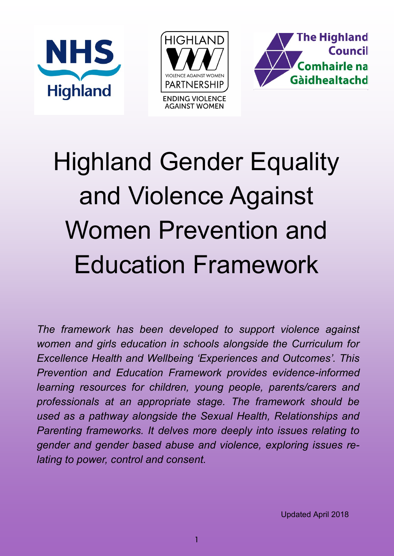





# Highland Gender Equality and Violence Against Women Prevention and Education Framework

*The framework has been developed to support violence against women and girls education in schools alongside the Curriculum for Excellence Health and Wellbeing 'Experiences and Outcomes'. This Prevention and Education Framework provides evidence-informed learning resources for children, young people, parents/carers and professionals at an appropriate stage. The framework should be used as a pathway alongside the Sexual Health, Relationships and Parenting frameworks. It delves more deeply into issues relating to gender and gender based abuse and violence, exploring issues relating to power, control and consent.*

Updated April 2018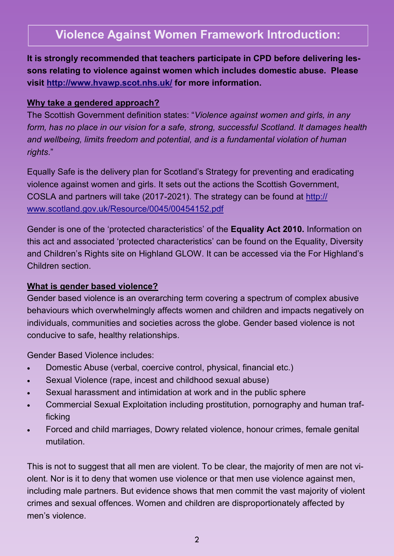## **Violence Against Women Framework Introduction:**

**It is strongly recommended that teachers participate in CPD before delivering lessons relating to violence against women which includes domestic abuse. Please visit<http://www.hvawp.scot.nhs.uk/> for more information.** 

#### **Why take a gendered approach?**

The Scottish Government definition states: "*Violence against women and girls, in any form, has no place in our vision for a safe, strong, successful Scotland. It damages health and wellbeing, limits freedom and potential, and is a fundamental violation of human rights*."

Equally Safe is the delivery plan for Scotland's Strategy for preventing and eradicating violence against women and girls. It sets out the actions the Scottish Government, COSLA and partners will take (2017-2021). The strategy can be found at [http://](http://www.scotland.gov.uk/Resource/0045/00454152.pdf) [www.scotland.gov.uk/Resource/0045/00454152.pdf](http://www.scotland.gov.uk/Resource/0045/00454152.pdf) 

Gender is one of the 'protected characteristics' of the **Equality Act 2010.** Information on this act and associated 'protected characteristics' can be found on the Equality, Diversity and Children's Rights site on Highland GLOW. It can be accessed via the For Highland's Children section.

#### **What is gender based violence?**

Gender based violence is an overarching term covering a spectrum of complex abusive behaviours which overwhelmingly affects women and children and impacts negatively on individuals, communities and societies across the globe. Gender based violence is not conducive to safe, healthy relationships.

Gender Based Violence includes:

- Domestic Abuse (verbal, coercive control, physical, financial etc.)
- Sexual Violence (rape, incest and childhood sexual abuse)
- Sexual harassment and intimidation at work and in the public sphere
- Commercial Sexual Exploitation including prostitution, pornography and human trafficking
- Forced and child marriages, Dowry related violence, honour crimes, female genital mutilation.

This is not to suggest that all men are violent. To be clear, the majority of men are not violent. Nor is it to deny that women use violence or that men use violence against men, including male partners. But evidence shows that men commit the vast majority of violent crimes and sexual offences. Women and children are disproportionately affected by men's violence.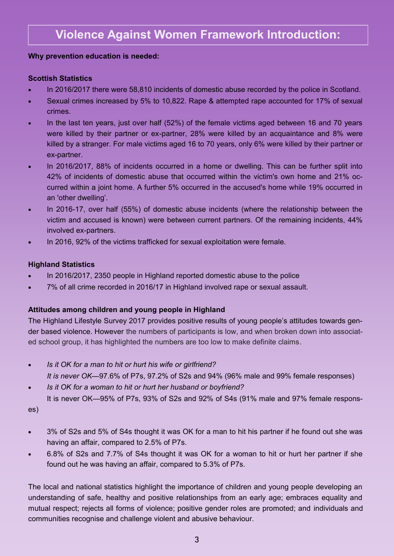#### **Why prevention education is needed:**

#### **Scottish Statistics**

- In 2016/2017 there were 58,810 incidents of domestic abuse recorded by the police in Scotland.
- Sexual crimes increased by 5% to 10,822. Rape & attempted rape accounted for 17% of sexual crimes.
- In the last ten years, just over half (52%) of the female victims aged between 16 and 70 years were killed by their partner or ex-partner, 28% were killed by an acquaintance and 8% were killed by a stranger. For male victims aged 16 to 70 years, only 6% were killed by their partner or ex-partner.
- In 2016/2017, 88% of incidents occurred in a home or dwelling. This can be further split into 42% of incidents of domestic abuse that occurred within the victim's own home and 21% occurred within a joint home. A further 5% occurred in the accused's home while 19% occurred in an 'other dwelling'.
- In 2016-17, over half (55%) of domestic abuse incidents (where the relationship between the victim and accused is known) were between current partners. Of the remaining incidents, 44% involved ex-partners.
- In 2016, 92% of the victims trafficked for sexual exploitation were female.

#### **Highland Statistics**

- In 2016/2017, 2350 people in Highland reported domestic abuse to the police
- 7% of all crime recorded in 2016/17 in Highland involved rape or sexual assault.

#### **Attitudes among children and young people in Highland**

The Highland Lifestyle Survey 2017 provides positive results of young people's attitudes towards gender based violence. However the numbers of participants is low, and when broken down into associated school group, it has highlighted the numbers are too low to make definite claims.

- *Is it OK for a man to hit or hurt his wife or girlfriend? It is never OK—*97.6% of P7s, 97.2% of S2s and 94% (96% male and 99% female responses)
- *Is it OK for a woman to hit or hurt her husband or boyfriend?* It is never OK—95% of P7s, 93% of S2s and 92% of S4s (91% male and 97% female respons-

es)

- 3% of S2s and 5% of S4s thought it was OK for a man to hit his partner if he found out she was having an affair, compared to 2.5% of P7s.
- 6.8% of S2s and 7.7% of S4s thought it was OK for a woman to hit or hurt her partner if she found out he was having an affair, compared to 5.3% of P7s.

The local and national statistics highlight the importance of children and young people developing an understanding of safe, healthy and positive relationships from an early age; embraces equality and mutual respect; rejects all forms of violence; positive gender roles are promoted; and individuals and communities recognise and challenge violent and abusive behaviour.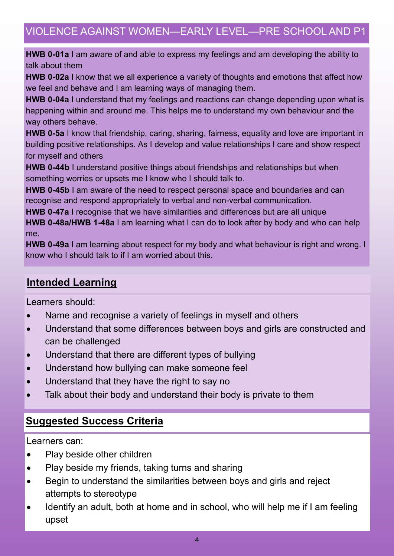## VIOLENCE AGAINST WOMEN—EARLY LEVEL—PRE SCHOOL AND P1

**HWB 0-01a** I am aware of and able to express my feelings and am developing the ability to talk about them

**HWB 0-02a** I know that we all experience a variety of thoughts and emotions that affect how we feel and behave and I am learning ways of managing them.

**HWB 0-04a** I understand that my feelings and reactions can change depending upon what is happening within and around me. This helps me to understand my own behaviour and the way others behave.

**HWB 0-5a** I know that friendship, caring, sharing, fairness, equality and love are important in building positive relationships. As I develop and value relationships I care and show respect for myself and others

**HWB 0-44b** I understand positive things about friendships and relationships but when something worries or upsets me I know who I should talk to.

**HWB 0-45b** I am aware of the need to respect personal space and boundaries and can recognise and respond appropriately to verbal and non-verbal communication.

**HWB 0-47a** I recognise that we have similarities and differences but are all unique **HWB 0-48a/HWB 1-48a** I am learning what I can do to look after by body and who can help me.

**HWB 0-49a** I am learning about respect for my body and what behaviour is right and wrong. I know who I should talk to if I am worried about this.

#### **Intended Learning**

Learners should:

- Name and recognise a variety of feelings in myself and others
- Understand that some differences between boys and girls are constructed and can be challenged
- Understand that there are different types of bullying
- Understand how bullying can make someone feel
- Understand that they have the right to say no
- Talk about their body and understand their body is private to them

#### **Suggested Success Criteria**

Learners can:

- Play beside other children
- Play beside my friends, taking turns and sharing
- Begin to understand the similarities between boys and girls and reject attempts to stereotype
- Identify an adult, both at home and in school, who will help me if I am feeling upset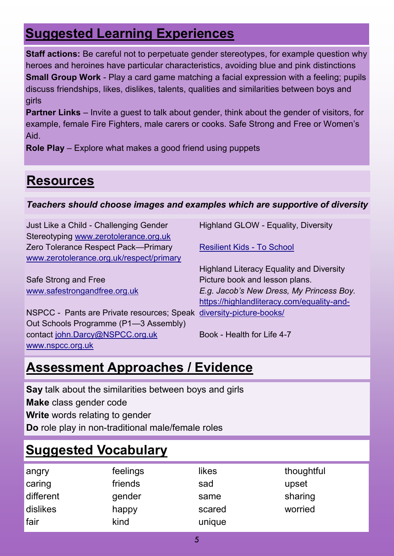# **Suggested Learning Experiences**

**Staff actions:** Be careful not to perpetuate gender stereotypes, for example question why heroes and heroines have particular characteristics, avoiding blue and pink distinctions **Small Group Work** - Play a card game matching a facial expression with a feeling; pupils discuss friendships, likes, dislikes, talents, qualities and similarities between boys and girls

**Partner Links** – Invite a guest to talk about gender, think about the gender of visitors, for example, female Fire Fighters, male carers or cooks. Safe Strong and Free or Women's Aid.

**Role Play** – Explore what makes a good friend using puppets

# **Resources**

#### *Teachers should choose images and examples which are supportive of diversity*

Just Like a Child - Challenging Gender Stereotyping [www.zerotolerance.org.uk](http://www.zerotolerance.org.uk) Zero Tolerance Respect Pack—Primary [www.zerotolerance.org.uk/respect/primary](http://www.zerotolerance.org.uk/respect/primary)

Safe Strong and Free [www.safestrongandfree.org.uk](http://www.safestrongandfree.org.uk)

NSPCC - Pants are Private resources; Speak [diversity](https://highlandliteracy.com/equality-and-diversity-picture-books/)-picture-books/ Out Schools Programme (P1—3 Assembly) contact [john.Darcy@NSPCC.org.uk](mailto:john.Darcy@NSPCC.org.uk) [www.nspcc.org.uk](http://www.nspcc.org.uk/nthqnas5/KirstyBa/My%20Documents/Flexi%20time)

Highland GLOW - Equality, Diversity

[Resilient Kids](http://www.resilientkids.org/) - To School

Highland Literacy Equality and Diversity Picture book and lesson plans. *E.g. Jacob's New Dress, My Princess Boy.* [https://highlandliteracy.com/equality](https://highlandliteracy.com/equality-and-diversity-picture-books/)-and-

Book - Health for Life 4-7

# **Assessment Approaches / Evidence**

**Say** talk about the similarities between boys and girls **Make** class gender code **Write** words relating to gender **Do** role play in non-traditional male/female roles

# **Suggested Vocabulary**

| angry     | feelings | likes  | thoughtful |
|-----------|----------|--------|------------|
| caring    | friends  | sad    | upset      |
| different | gender   | same   | sharing    |
| dislikes  | happy    | scared | worried    |
| fair      | kind     | unique |            |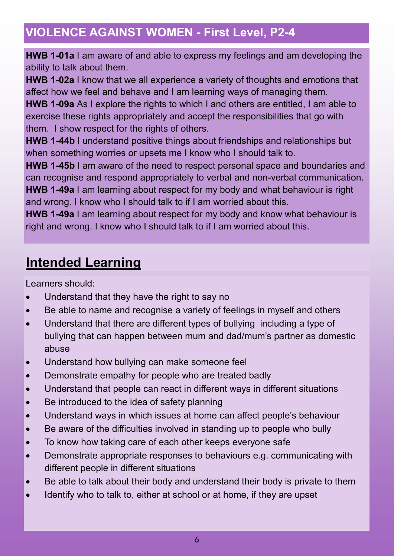**HWB 1-01a** I am aware of and able to express my feelings and am developing the ability to talk about them.

**HWB 1-02a** I know that we all experience a variety of thoughts and emotions that affect how we feel and behave and I am learning ways of managing them.

**HWB 1-09a** As I explore the rights to which I and others are entitled, I am able to exercise these rights appropriately and accept the responsibilities that go with them. I show respect for the rights of others.

**HWB 1-44b** I understand positive things about friendships and relationships but when something worries or upsets me I know who I should talk to.

**HWB 1-45b** I am aware of the need to respect personal space and boundaries and can recognise and respond appropriately to verbal and non-verbal communication. **HWB 1-49a** I am learning about respect for my body and what behaviour is right and wrong. I know who I should talk to if I am worried about this.

**HWB 1-49a** I am learning about respect for my body and know what behaviour is right and wrong. I know who I should talk to if I am worried about this.

# **Intended Learning**

Learners should:

- Understand that they have the right to say no
- Be able to name and recognise a variety of feelings in myself and others
- Understand that there are different types of bullying including a type of bullying that can happen between mum and dad/mum's partner as domestic abuse
- Understand how bullying can make someone feel
- Demonstrate empathy for people who are treated badly
- Understand that people can react in different ways in different situations
- Be introduced to the idea of safety planning
- Understand ways in which issues at home can affect people's behaviour
- Be aware of the difficulties involved in standing up to people who bully
- To know how taking care of each other keeps everyone safe
- Demonstrate appropriate responses to behaviours e.g. communicating with different people in different situations
- Be able to talk about their body and understand their body is private to them
- Identify who to talk to, either at school or at home, if they are upset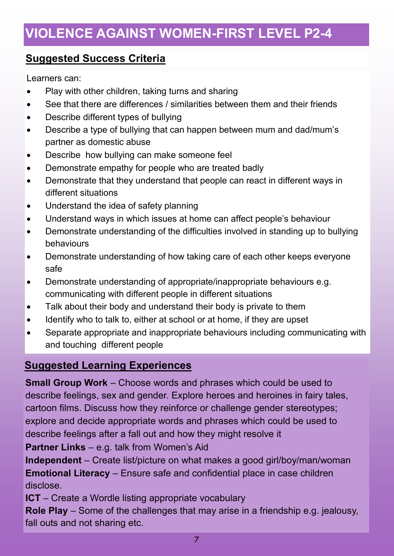## **Suggested Success Criteria**

Learners can:

- Play with other children, taking turns and sharing
- See that there are differences / similarities between them and their friends
- Describe different types of bullying
- Describe a type of bullying that can happen between mum and dad/mum's partner as domestic abuse
- Describe how bullying can make someone feel
- Demonstrate empathy for people who are treated badly
- Demonstrate that they understand that people can react in different ways in different situations
- Understand the idea of safety planning
- Understand ways in which issues at home can affect people's behaviour
- Demonstrate understanding of the difficulties involved in standing up to bullying behaviours
- Demonstrate understanding of how taking care of each other keeps everyone safe
- Demonstrate understanding of appropriate/inappropriate behaviours e.g. communicating with different people in different situations
- Talk about their body and understand their body is private to them
- Identify who to talk to, either at school or at home, if they are upset
- Separate appropriate and inappropriate behaviours including communicating with and touching different people

#### **Suggested Learning Experiences**

**Small Group Work** – Choose words and phrases which could be used to describe feelings, sex and gender. Explore heroes and heroines in fairy tales, cartoon films. Discuss how they reinforce or challenge gender stereotypes; explore and decide appropriate words and phrases which could be used to describe feelings after a fall out and how they might resolve it

**Partner Links** – e.g. talk from Women's Aid

**Independent** – Create list/picture on what makes a good girl/boy/man/woman **Emotional Literacy** – Ensure safe and confidential place in case children disclose.

**ICT** – Create a Wordle listing appropriate vocabulary

**Role Play** – Some of the challenges that may arise in a friendship e.g. jealousy, fall outs and not sharing etc.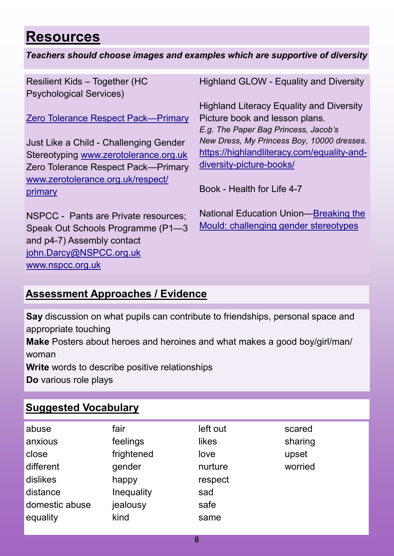# **Resources**

#### *Teachers should choose images and examples which are supportive of diversity*

Resilient Kids – Together (HC Psychological Services)

[Zero Tolerance Respect Pack—Primary](http://www.zerotolerance.org.uk/respect/primary)

Just Like a Child - Challenging Gender Stereotyping [www.zerotolerance.org.uk](http://www.zerotolerance.org.uk) Zero Tolerance Respect Pack—Primary [www.zerotolerance.org.uk/respect/](http://www.zerotolerance.org.uk/respect/primary) [primary](http://www.zerotolerance.org.uk/respect/primary)

NSPCC - Pants are Private resources; Speak Out Schools Programme (P1—3 and p4-7) Assembly contact [john.Darcy@NSPCC.org.uk](mailto:john.Darcy@NSPCC.org.uk) [www.nspcc.org.uk](http://www.nspcc.org.uk/nthqnas5/KirstyBa/My%20Documents/Flexi%20time)

Highland GLOW - Equality and Diversity

Highland Literacy Equality and Diversity Picture book and lesson plans. *E.g. The Paper Bag Princess, Jacob's New Dress, My Princess Boy, 10000 dresses.* [https://highlandliteracy.com/equality](https://highlandliteracy.com/equality-and-diversity-picture-books/)-and[diversity](https://highlandliteracy.com/equality-and-diversity-picture-books/)-picture-books/

Book - Health for Life 4-7

National Education Union[—Breaking the](https://www.teachers.org.uk/equality/equality-matters/breaking-mould)  [Mould: challenging gender stereotypes](https://www.teachers.org.uk/equality/equality-matters/breaking-mould)

## **Assessment Approaches / Evidence**

**Say** discussion on what pupils can contribute to friendships, personal space and appropriate touching

**Make** Posters about heroes and heroines and what makes a good boy/girl/man/ woman

**Write** words to describe positive relationships

**Do** various role plays

## **Suggested Vocabulary**

| abuse          | fair       | left out | scared  |
|----------------|------------|----------|---------|
| anxious        | feelings   | likes    | sharing |
| close          | frightened | love     | upset   |
| different      | gender     | nurture  | worried |
| dislikes       | happy      | respect  |         |
| distance       | Inequality | sad      |         |
| domestic abuse | jealousy   | safe     |         |
| equality       | kind       | same     |         |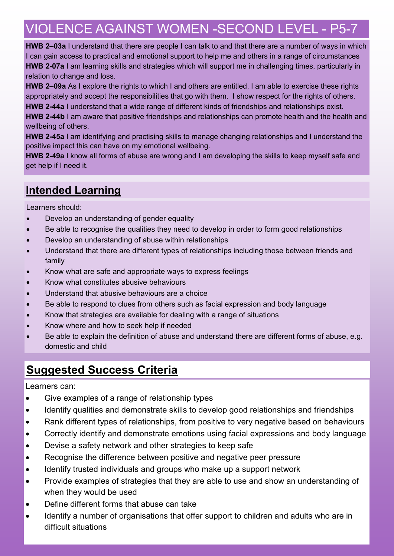# VIOLENCE AGAINST WOMEN -SECOND LEVEL - P5-7

**HWB 2–03a** I understand that there are people I can talk to and that there are a number of ways in which I can gain access to practical and emotional support to help me and others in a range of circumstances **HWB 2-07a** I am learning skills and strategies which will support me in challenging times, particularly in relation to change and loss.

**HWB 2–09a** As I explore the rights to which I and others are entitled, I am able to exercise these rights appropriately and accept the responsibilities that go with them. I show respect for the rights of others.

**HWB 2-44a** I understand that a wide range of different kinds of friendships and relationships exist.

**HWB 2-44b** I am aware that positive friendships and relationships can promote health and the health and wellbeing of others.

**HWB 2-45a** I am identifying and practising skills to manage changing relationships and I understand the positive impact this can have on my emotional wellbeing.

**HWB 2-49a** I know all forms of abuse are wrong and I am developing the skills to keep myself safe and get help if I need it.

## **Intended Learning**

Learners should:

- Develop an understanding of gender equality
- Be able to recognise the qualities they need to develop in order to form good relationships
- Develop an understanding of abuse within relationships
- Understand that there are different types of relationships including those between friends and family
- Know what are safe and appropriate ways to express feelings
- Know what constitutes abusive behaviours
- Understand that abusive behaviours are a choice
- Be able to respond to clues from others such as facial expression and body language
- Know that strategies are available for dealing with a range of situations
- Know where and how to seek help if needed
- Be able to explain the definition of abuse and understand there are different forms of abuse, e.g. domestic and child

## **Suggested Success Criteria**

Learners can:

- Give examples of a range of relationship types
- Identify qualities and demonstrate skills to develop good relationships and friendships
- Rank different types of relationships, from positive to very negative based on behaviours
- Correctly identify and demonstrate emotions using facial expressions and body language
- Devise a safety network and other strategies to keep safe
- Recognise the difference between positive and negative peer pressure
- Identify trusted individuals and groups who make up a support network
- Provide examples of strategies that they are able to use and show an understanding of when they would be used
- Define different forms that abuse can take
- Identify a number of organisations that offer support to children and adults who are in difficult situations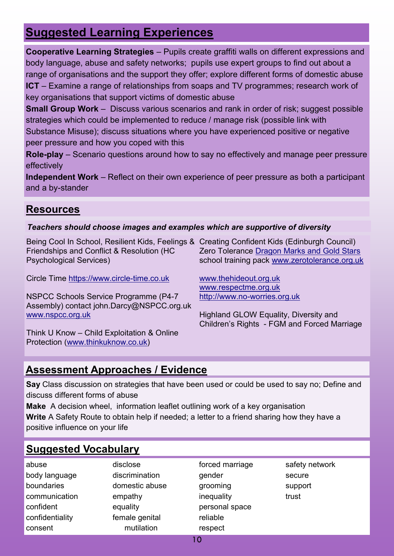# **Suggested Learning Experiences**

**Cooperative Learning Strategies** – Pupils create graffiti walls on different expressions and body language, abuse and safety networks; pupils use expert groups to find out about a range of organisations and the support they offer; explore different forms of domestic abuse **ICT** – Examine a range of relationships from soaps and TV programmes; research work of key organisations that support victims of domestic abuse

**Small Group Work** – Discuss various scenarios and rank in order of risk; suggest possible strategies which could be implemented to reduce / manage risk (possible link with Substance Misuse); discuss situations where you have experienced positive or negative peer pressure and how you coped with this

**Role-play** – Scenario questions around how to say no effectively and manage peer pressure effectively

**Independent Work** – Reflect on their own experience of peer pressure as both a participant and a by-stander

#### **Resources**

#### *Teachers should choose images and examples which are supportive of diversity*

Being Cool In School, Resilient Kids, Feelings & Creating Confident Kids (Edinburgh Council) Friendships and Conflict & Resolution (HC Psychological Services)

Circle Time [https://www.circle](https://www.circle-time.co.uk)-time.co.uk

NSPCC Schools Service Programme (P4-7 Assembly) contact john.Darcy@NSPCC.org.uk [www.nspcc.org.uk](http://www.nspcc.org.uk)

Think U Know – Child Exploitation & Online Protection [\(www.thinkuknow.co.uk\)](http://www.thinkuknow.co.uk)

Zero Tolerance [Dragon Marks and Gold Stars](http://www.zerotolerance.org.uk/sites/www.vawpreventionscotland.org.uk/files/GoldStarsDragonMarks-ResourcePack.pdf) school training pack [www.zerotolerance.org.uk](http://www.zerotolerance.org.uk)

[www.thehideout.org.uk](http://www.thehideout.org.uk)  [www.respectme.org.uk](http://www.respectme.org.uk) http://www.no-[worries.org.uk](http://www.no-worries.org.uk)

Highland GLOW Equality, Diversity and Children's Rights - FGM and Forced Marriage

#### **Assessment Approaches / Evidence**

**Say** Class discussion on strategies that have been used or could be used to say no; Define and discuss different forms of abuse

**Make** A decision wheel, information leaflet outlining work of a key organisation **Write** A Safety Route to obtain help if needed; a letter to a friend sharing how they have a positive influence on your life

#### **Suggested Vocabulary**

| abuse           |
|-----------------|
| body language   |
| boundaries      |
| communication   |
| confident       |
| confidentiality |
| consent         |

disclose discrimination domestic abuse empathy equality female genital mutilation

forced marriage gender grooming inequality personal space reliable respect

safety network secure support trust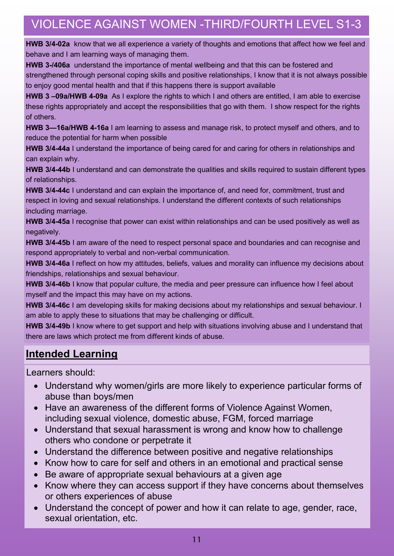# VIOLENCE AGAINST WOMEN -THIRD/FOURTH LEVEL S1-3

**HWB 3/4-02a** know that we all experience a variety of thoughts and emotions that affect how we feel and behave and I am learning ways of managing them.

**HWB 3-/406a** understand the importance of mental wellbeing and that this can be fostered and strengthened through personal coping skills and positive relationships, I know that it is not always possible to enjoy good mental health and that if this happens there is support available

**HWB 3 –09a/HWB 4-09a** As I explore the rights to which I and others are entitled, I am able to exercise these rights appropriately and accept the responsibilities that go with them. I show respect for the rights of others.

**HWB 3—16a/HWB 4-16a** I am learning to assess and manage risk, to protect myself and others, and to reduce the potential for harm when possible

**HWB 3/4-44a** I understand the importance of being cared for and caring for others in relationships and can explain why.

**HWB 3/4-44b** I understand and can demonstrate the qualities and skills required to sustain different types of relationships.

**HWB 3/4-44c** I understand and can explain the importance of, and need for, commitment, trust and respect in loving and sexual relationships. I understand the different contexts of such relationships including marriage.

**HWB 3/4-45a** I recognise that power can exist within relationships and can be used positively as well as negatively.

**HWB 3/4-45b** I am aware of the need to respect personal space and boundaries and can recognise and respond appropriately to verbal and non-verbal communication.

**HWB 3/4-46a** I reflect on how my attitudes, beliefs, values and morality can influence my decisions about friendships, relationships and sexual behaviour.

**HWB 3/4-46b** I know that popular culture, the media and peer pressure can influence how I feel about myself and the impact this may have on my actions.

**HWB 3/4-46c** I am developing skills for making decisions about my relationships and sexual behaviour. I am able to apply these to situations that may be challenging or difficult.

**HWB 3/4-49b** I know where to get support and help with situations involving abuse and I understand that there are laws which protect me from different kinds of abuse.

#### **Intended Learning**

Learners should:

- Understand why women/girls are more likely to experience particular forms of abuse than boys/men
- Have an awareness of the different forms of Violence Against Women, including sexual violence, domestic abuse, FGM, forced marriage
- Understand that sexual harassment is wrong and know how to challenge others who condone or perpetrate it
- Understand the difference between positive and negative relationships
- Know how to care for self and others in an emotional and practical sense
- Be aware of appropriate sexual behaviours at a given age
- Know where they can access support if they have concerns about themselves or others experiences of abuse
- Understand the concept of power and how it can relate to age, gender, race, sexual orientation, etc.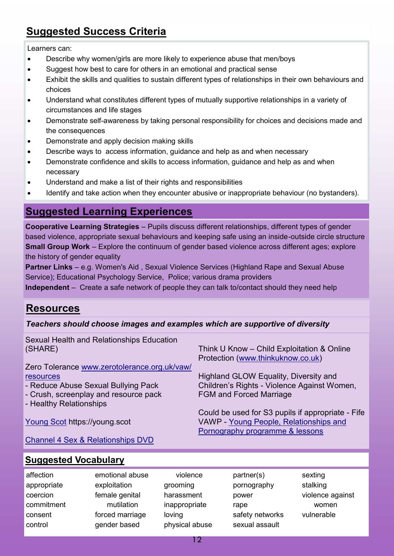## **Suggested Success Criteria**

Learners can:

- Describe why women/girls are more likely to experience abuse that men/boys
- Suggest how best to care for others in an emotional and practical sense
- Exhibit the skills and qualities to sustain different types of relationships in their own behaviours and choices
- Understand what constitutes different types of mutually supportive relationships in a variety of circumstances and life stages
- Demonstrate self-awareness by taking personal responsibility for choices and decisions made and the consequences
- Demonstrate and apply decision making skills
- Describe ways to access information, guidance and help as and when necessary
- Demonstrate confidence and skills to access information, guidance and help as and when necessary
- Understand and make a list of their rights and responsibilities
- Identify and take action when they encounter abusive or inappropriate behaviour (no bystanders).

#### **Suggested Learning Experiences**

**Cooperative Learning Strategies** – Pupils discuss different relationships, different types of gender based violence, appropriate sexual behaviours and keeping safe using an inside-outside circle structure **Small Group Work** – Explore the continuum of gender based violence across different ages; explore the history of gender equality

**Partner Links** – e.g. Women's Aid, Sexual Violence Services (Highland Rape and Sexual Abuse Service); Educational Psychology Service, Police; various drama providers

**Independent** – Create a safe network of people they can talk to/contact should they need help

#### **Resources**

#### *Teachers should choose images and examples which are supportive of diversity*

| Sexual Health and Relationships Education    |                                                   |
|----------------------------------------------|---------------------------------------------------|
| (SHARE)                                      | Think U Know - Child Exploitation & Online        |
|                                              | Protection (www.thinkuknow.co.uk)                 |
| Zero Tolerance www.zerotolerance.org.uk/vaw/ |                                                   |
| resources                                    | Highland GLOW Equality, Diversity and             |
| - Reduce Abuse Sexual Bullying Pack          | Children's Rights - Violence Against Women,       |
| - Crush, screenplay and resource pack        | <b>FGM and Forced Marriage</b>                    |
| - Healthy Relationships                      |                                                   |
|                                              | Could be used for S3 pupils if appropriate - Fife |
| Young Scot https://young.scot                | VAWP - Young People, Relationships and            |
|                                              | Pornography programme & lessons                   |
|                                              |                                                   |

[Channel 4 Sex & Relationships DVD](https://shop.channel4learning.com/?page=shop&cid=28&pid=1624)

#### **Suggested Vocabulary**

- affection appropriate coercion commitment consent control
- emotional abuse exploitation female genital mutilation forced marriage gender based
- violence grooming harassment inappropriate loving physical abuse
- partner(s) pornography power rape safety networks sexual assault
- sexting stalking violence against women vulnerable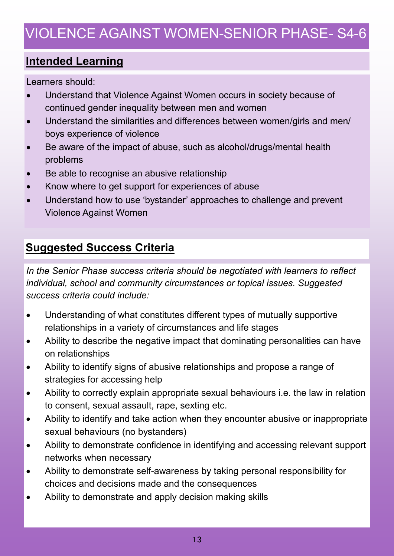# VIOLENCE AGAINST WOMEN-SENIOR PHASE- S4-6

## **Intended Learning**

Learners should:

- Understand that Violence Against Women occurs in society because of continued gender inequality between men and women
- Understand the similarities and differences between women/girls and men/ boys experience of violence
- Be aware of the impact of abuse, such as alcohol/drugs/mental health problems
- Be able to recognise an abusive relationship
- Know where to get support for experiences of abuse
- Understand how to use 'bystander' approaches to challenge and prevent Violence Against Women

## **Suggested Success Criteria**

*In the Senior Phase success criteria should be negotiated with learners to reflect individual, school and community circumstances or topical issues. Suggested success criteria could include:*

- Understanding of what constitutes different types of mutually supportive relationships in a variety of circumstances and life stages
- Ability to describe the negative impact that dominating personalities can have on relationships
- Ability to identify signs of abusive relationships and propose a range of strategies for accessing help
- Ability to correctly explain appropriate sexual behaviours i.e. the law in relation to consent, sexual assault, rape, sexting etc.
- Ability to identify and take action when they encounter abusive or inappropriate sexual behaviours (no bystanders)
- Ability to demonstrate confidence in identifying and accessing relevant support networks when necessary
- Ability to demonstrate self-awareness by taking personal responsibility for choices and decisions made and the consequences
- Ability to demonstrate and apply decision making skills